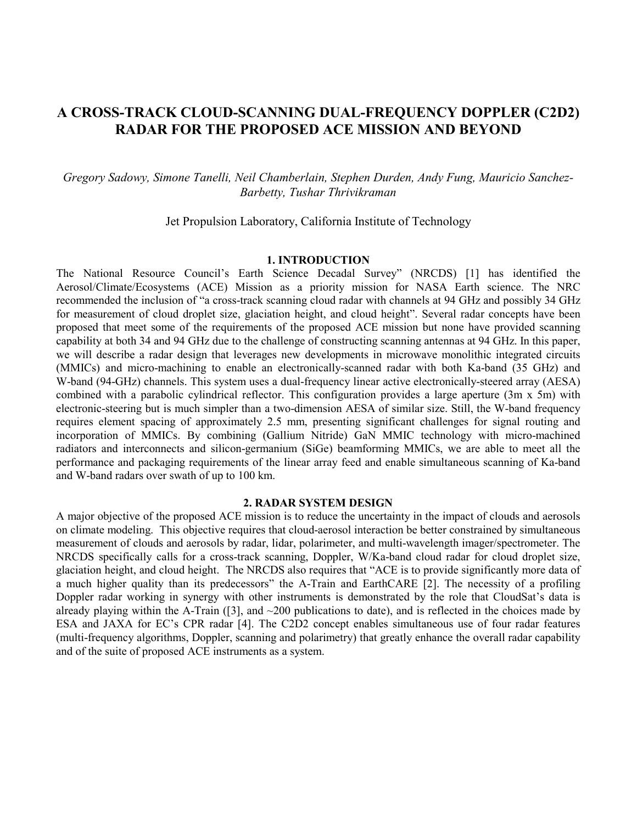# **A CROSS-TRACK CLOUD-SCANNING DUAL-FREQUENCY DOPPLER (C2D2) RADAR FOR THE PROPOSED ACE MISSION AND BEYOND**

# *Gregory Sadowy, Simone Tanelli, Neil Chamberlain, Stephen Durden, Andy Fung, Mauricio Sanchez-Barbetty, Tushar Thrivikraman*

Jet Propulsion Laboratory, California Institute of Technology

## **1. INTRODUCTION**

The National Resource Council's Earth Science Decadal Survey" (NRCDS) [1] has identified the Aerosol/Climate/Ecosystems (ACE) Mission as a priority mission for NASA Earth science. The NRC recommended the inclusion of "a cross-track scanning cloud radar with channels at 94 GHz and possibly 34 GHz for measurement of cloud droplet size, glaciation height, and cloud height". Several radar concepts have been proposed that meet some of the requirements of the proposed ACE mission but none have provided scanning capability at both 34 and 94 GHz due to the challenge of constructing scanning antennas at 94 GHz. In this paper, we will describe a radar design that leverages new developments in microwave monolithic integrated circuits (MMICs) and micro-machining to enable an electronically-scanned radar with both Ka-band (35 GHz) and W-band (94-GHz) channels. This system uses a dual-frequency linear active electronically-steered array (AESA) combined with a parabolic cylindrical reflector. This configuration provides a large aperture (3m x 5m) with electronic-steering but is much simpler than a two-dimension AESA of similar size. Still, the W-band frequency requires element spacing of approximately 2.5 mm, presenting significant challenges for signal routing and incorporation of MMICs. By combining (Gallium Nitride) GaN MMIC technology with micro-machined radiators and interconnects and silicon-germanium (SiGe) beamforming MMICs, we are able to meet all the performance and packaging requirements of the linear array feed and enable simultaneous scanning of Ka-band and W-band radars over swath of up to 100 km.

#### **2. RADAR SYSTEM DESIGN**

A major objective of the proposed ACE mission is to reduce the uncertainty in the impact of clouds and aerosols on climate modeling. This objective requires that cloud-aerosol interaction be better constrained by simultaneous measurement of clouds and aerosols by radar, lidar, polarimeter, and multi-wavelength imager/spectrometer. The NRCDS specifically calls for a cross-track scanning, Doppler, W/Ka-band cloud radar for cloud droplet size, glaciation height, and cloud height. The NRCDS also requires that "ACE is to provide significantly more data of a much higher quality than its predecessors" the A-Train and EarthCARE [2]. The necessity of a profiling Doppler radar working in synergy with other instruments is demonstrated by the role that CloudSat's data is already playing within the A-Train ([3], and  $\sim$ 200 publications to date), and is reflected in the choices made by ESA and JAXA for EC's CPR radar [4]. The C2D2 concept enables simultaneous use of four radar features (multi-frequency algorithms, Doppler, scanning and polarimetry) that greatly enhance the overall radar capability and of the suite of proposed ACE instruments as a system.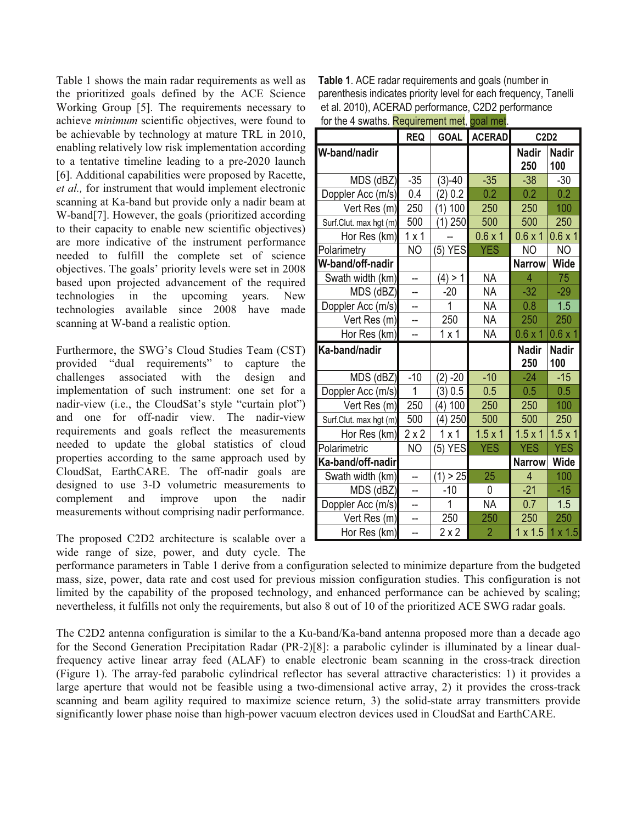Table 1 shows the main radar requirements as well as the prioritized goals defined by the ACE Science Working Group [5]. The requirements necessary to achieve minimum scientific objectives, were found to be achievable by technology at mature TRL in 2010, enabling relatively low risk implementation according to a tentative timeline leading to a pre-2020 launch [6]. Additional capabilities were proposed by Racette, et al., for instrument that would implement electronic scanning at Ka-band but provide only a nadir beam at W-band[7]. However, the goals (prioritized according) to their capacity to enable new scientific objectives) are more indicative of the instrument performance needed to fulfill the complete set of science objectives. The goals' priority levels were set in 2008 based upon projected advancement of the required technologies in the upcoming years. New technologies available since 2008 have made scanning at W-band a realistic option.

Furthermore, the SWG's Cloud Studies Team (CST) capture the provided "dual requirements" to challenges associated with the  $design$ and implementation of such instrument: one set for a nadir-view (i.e., the CloudSat's style "curtain plot") and one for off-nadir view. The nadir-view requirements and goals reflect the measurements needed to update the global statistics of cloud properties according to the same approach used by CloudSat, EarthCARE. The off-nadir goals are designed to use 3-D volumetric measurements to complement and improve upon the nadir measurements without comprising nadir performance.

The proposed C2D2 architecture is scalable over a wide range of size, power, and duty cycle. The

Table 1. ACE radar requirements and goals (number in parenthesis indicates priority level for each frequency, Tanelli et al. 2010), ACERAD performance, C2D2 performance for the 4 swaths. Requirement met. goal met.

|                        | <b>REQ</b>   |            | <b>GOAL ACERAD</b> | <b>C2D2</b>         |                     |
|------------------------|--------------|------------|--------------------|---------------------|---------------------|
| W-band/nadir           |              |            |                    | <b>Nadir</b><br>250 | <b>Nadir</b><br>100 |
| MDS (dBZ)              | $-35$        | $(3)-40$   | $-35$              | $-38$               | $-30$               |
| Doppler Acc (m/s)      | 0.4          | (2) 0.2    | 0.2                | 0.2                 | 0.2                 |
| Vert Res (m)           | 250          | $(1)$ 100  | 250                | 250                 | 100                 |
| Surf.Clut. max hgt (m) | 500          | $(1)$ 250  | 500                | 500                 | 250                 |
| Hor Res (km)           | 1x1          |            | $0.6 \times 1$     | 0.6x1               | $0.6 \times 1$      |
| Polarimetry            | <b>NO</b>    | $(5)$ YES  | <b>YES</b>         | NO                  | N <sub>O</sub>      |
| W-band/off-nadir       |              |            |                    | <b>Narrow</b>       | <b>Wide</b>         |
| Swath width (km)       | $=$          | (4) > 1    | <b>NA</b>          | 4                   | 75                  |
| MDS (dBZ)              |              | -20        | <b>NA</b>          | $-32$               | $-29$               |
| Doppler Acc (m/s)      |              | 1          | <b>NA</b>          | 0.8                 | 1.5                 |
| Vert Res (m)           |              | 250        | <b>NA</b>          | 250                 | 250                 |
| Hor Res (km)           | --           | 1x1        | <b>NA</b>          | $0.6 \times 1$      | $0.6 \times 1$      |
| Ka-band/nadir          |              |            |                    | <b>Nadir</b><br>250 | <b>Nadir</b><br>100 |
| MDS (dBZ)              | $-10$        | $(2) - 20$ | $-10$              | $-24$               | $-15$               |
| Doppler Acc (m/s)      | 1            | (3) 0.5    | 0.5                | 0.5                 | 0.5                 |
| Vert Res (m)           | 250          | (4) 100    | 250                | 250                 | 100                 |
| Surf.Clut. max hgt (m) | 500          | (4) 250    | 500                | 500                 | 250                 |
| Hor Res (km)           | $2 \times 2$ | 1x1        | $1.5 \times 1$     | $1.5 \times 1$      | $1.5 \times 1$      |
| Polarimetric           | <b>NO</b>    | $(5)$ YES  | <b>YES</b>         | <b>YES</b>          | <b>YES</b>          |
| Ka-band/off-nadir      |              |            |                    | <b>Narrow</b>       | <b>Wide</b>         |
| Swath width (km)       | --           | (1) > 25   | 25                 | 4                   | 100                 |
| MDS (dBZ)              | --           | $-10$      | 0                  | $-21$               | $-15$               |
| Doppler Acc (m/s)      | --           | 1          | <b>NA</b>          | 0.7                 | 1.5                 |
| Vert Res (m)           |              | 250        | 250                | 250                 | 250                 |
| Hor Res (km)           | Ш,           | 2x2        | $\overline{2}$     | $1 \times 1.5$      | $1 \times 1.5$      |

performance parameters in Table 1 derive from a configuration selected to minimize departure from the budgeted mass, size, power, data rate and cost used for previous mission configuration studies. This configuration is not limited by the capability of the proposed technology, and enhanced performance can be achieved by scaling; nevertheless, it fulfills not only the requirements, but also 8 out of 10 of the prioritized ACE SWG radar goals.

The C2D2 antenna configuration is similar to the a Ku-band/Ka-band antenna proposed more than a decade ago for the Second Generation Precipitation Radar (PR-2)[8]: a parabolic cylinder is illuminated by a linear dualfrequency active linear array feed (ALAF) to enable electronic beam scanning in the cross-track direction (Figure 1). The array-fed parabolic cylindrical reflector has several attractive characteristics: 1) it provides a large aperture that would not be feasible using a two-dimensional active array, 2) it provides the cross-track scanning and beam agility required to maximize science return, 3) the solid-state array transmitters provide significantly lower phase noise than high-power vacuum electron devices used in CloudSat and EarthCARE.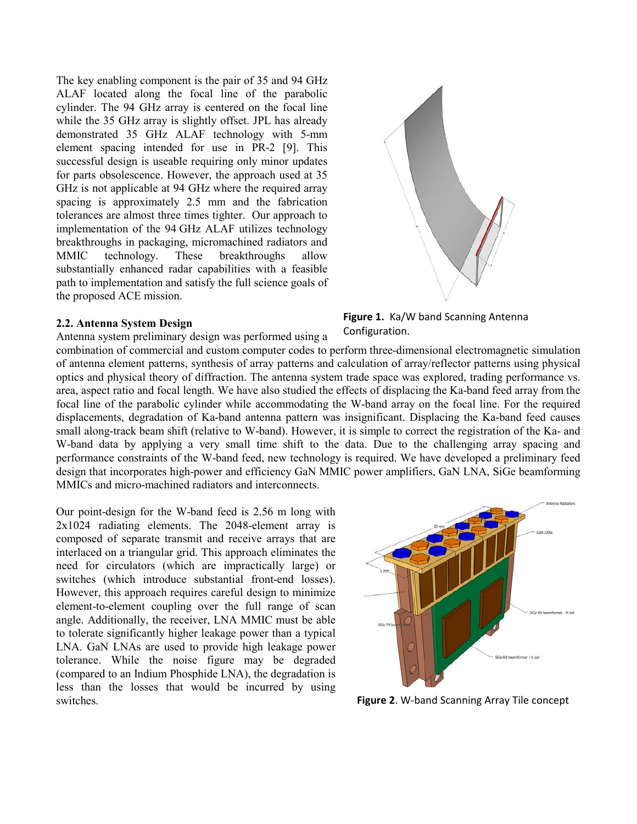The key enabling component is the pair of 35 and 94 GHz ALAF located along the focal line of the parabolic cylinder. The 94 GHz array is centered on the focal line while the 35 GHz array is slightly offset. JPL has already demonstrated 35 GHz ALAF technology with 5-mm element spacing intended for use in PR-2 [9]. This successful design is useable requiring only minor updates for parts obsolescence. However, the approach used at 35 GHz is not applicable at 94 GHz where the required array spacing is approximately 2.5 mm and the fabrication tolerances are almost three times tighter. Our approach to implementation of the 94 GHz ALAF utilizes technology breakthroughs in packaging, micromachined radiators and MMIC technology. These breakthroughs allow substantially enhanced radar capabilities with a feasible path to implementation and satisfy the full science goals of the proposed ACE mission.

## **2.2. Antenna System Design**

Antenna system preliminary design was performed using a



<span id="page-2-0"></span>**Figure 1.** Ka/W band Scanning Antenna Configuration.

combination of commercial and custom computer codes to perform three-dimensional electromagnetic simulation of antenna element patterns, synthesis of array patterns and calculation of array/reflector patterns using physical optics and physical theory of diffraction. The antenna system trade space was explored, trading performance vs. area, aspect ratio and focal length. We have also studied the effects of displacing the Ka-band feed array from the focal line of the parabolic cylinder while accommodating the W-band array on the focal line. For the required displacements, degradation of Ka-band antenna pattern was insignificant. Displacing the Ka-band feed causes small along-track beam shift (relative to W-band). However, it is simple to correct the registration of the Ka- and W-band data by applying a very small time shift to the data. Due to the challenging array spacing and performance constraints of the W-band feed, new technology is required. We have developed a preliminary feed design that incorporates high-power and efficiency GaN MMIC power amplifiers, GaN LNA, SiGe beamforming MMICs and micro-machined radiators and interconnects.

Our point-design for the W-band feed is 2.56 m long with 2x1024 radiating elements. The 2048-element array is composed of separate transmit and receive arrays that are interlaced on a triangular grid. This approach eliminates the need for circulators (which are impractically large) or switches (which introduce substantial front-end losses). However, this approach requires careful design to minimize element-to-element coupling over the full range of scan angle. Additionally, the receiver, LNA MMIC must be able to tolerate significantly higher leakage power than a typical LNA. GaN LNAs are used to provide high leakage power tolerance. While the noise figure may be degraded (compared to an Indium Phosphide LNA), the degradation is less than the losses that would be incurred by using switches.



**Figure 2**. W-band Scanning Array Tile concept